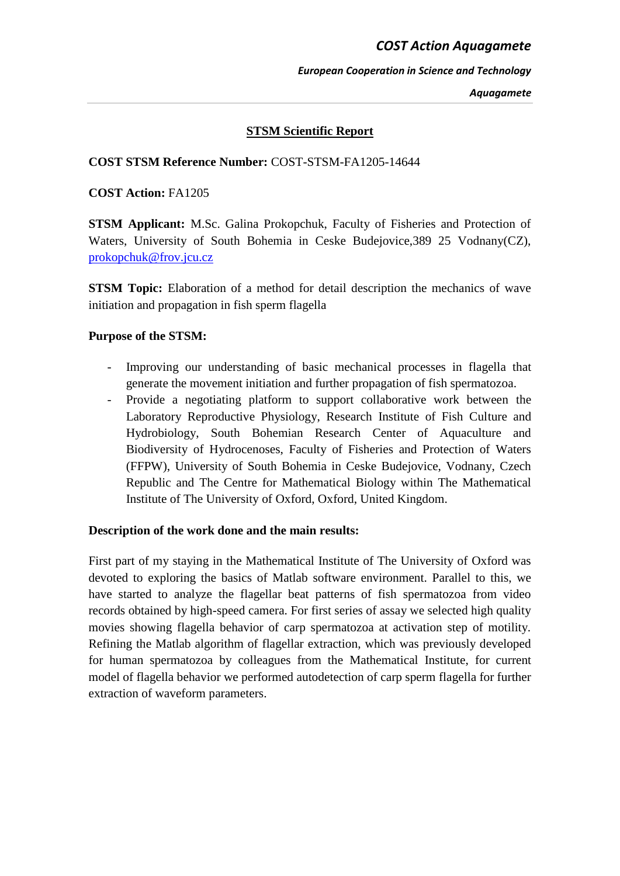# *COST Action Aquagamete*

#### *European Cooperation in Science and Technology*

*Aquagamete*

# **STSM Scientific Report**

### **COST STSM Reference Number:** COST-STSM-FA1205-14644

#### **COST Action:** FA1205

**STSM Applicant:** M.Sc. Galina Prokopchuk, Faculty of Fisheries and Protection of Waters, University of South Bohemia in Ceske Budejovice,389 25 Vodnany(CZ), [prokopchuk@frov.jcu.cz](mailto:prokopchuk@frov.jcu.cz)

**STSM Topic:** Elaboration of a method for detail description the mechanics of wave initiation and propagation in fish sperm flagella

#### **Purpose of the STSM:**

- Improving our understanding of basic mechanical processes in flagella that generate the movement initiation and further propagation of fish spermatozoa.
- Provide a negotiating platform to support collaborative work between the Laboratory Reproductive Physiology, Research Institute of Fish Culture and Hydrobiology, South Bohemian Research Center of Aquaculture and Biodiversity of Hydrocenoses, Faculty of Fisheries and Protection of Waters (FFPW), University of South Bohemia in Ceske Budejovice, Vodnany, Czech Republic and The Centre for Mathematical Biology within The Mathematical Institute of The University of Oxford, Oxford, United Kingdom.

#### **Description of the work done and the main results:**

First part of my staying in the Mathematical Institute of The University of Oxford was devoted to exploring the basics of Matlab software environment. Parallel to this, we have started to analyze the flagellar beat patterns of fish spermatozoa from video records obtained by high-speed camera. For first series of assay we selected high quality movies showing flagella behavior of carp spermatozoa at activation step of motility. Refining the Matlab algorithm of flagellar extraction, which was previously developed for human spermatozoa by colleagues from the Mathematical Institute, for current model of flagella behavior we performed autodetection of carp sperm flagella for further extraction of waveform parameters.